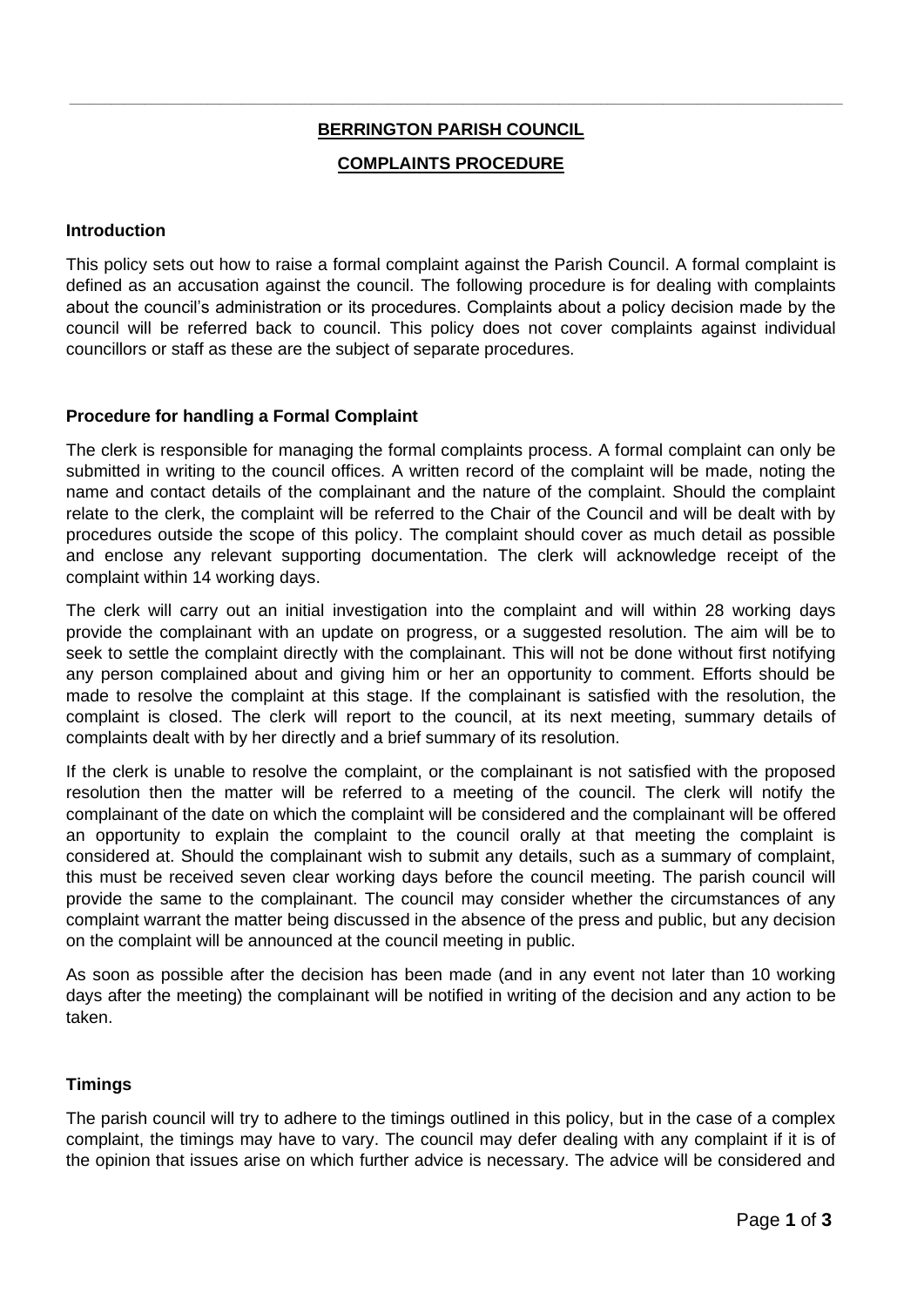# **BERRINGTON PARISH COUNCIL COMPLAINTS PROCEDURE**

**\_\_\_\_\_\_\_\_\_\_\_\_\_\_\_\_\_\_\_\_\_\_\_\_\_\_\_\_\_\_\_\_\_\_\_\_\_\_\_\_\_\_\_\_\_\_\_\_\_\_\_\_\_\_\_\_\_\_\_\_\_\_\_\_\_\_\_\_\_\_\_\_\_\_\_\_\_\_\_\_\_\_\_\_\_\_\_\_\_\_\_\_\_\_\_\_\_\_\_\_\_\_\_\_\_\_\_\_\_\_\_\_**

# **Introduction**

This policy sets out how to raise a formal complaint against the Parish Council. A formal complaint is defined as an accusation against the council. The following procedure is for dealing with complaints about the council's administration or its procedures. Complaints about a policy decision made by the council will be referred back to council. This policy does not cover complaints against individual councillors or staff as these are the subject of separate procedures.

# **Procedure for handling a Formal Complaint**

The clerk is responsible for managing the formal complaints process. A formal complaint can only be submitted in writing to the council offices. A written record of the complaint will be made, noting the name and contact details of the complainant and the nature of the complaint. Should the complaint relate to the clerk, the complaint will be referred to the Chair of the Council and will be dealt with by procedures outside the scope of this policy. The complaint should cover as much detail as possible and enclose any relevant supporting documentation. The clerk will acknowledge receipt of the complaint within 14 working days.

The clerk will carry out an initial investigation into the complaint and will within 28 working days provide the complainant with an update on progress, or a suggested resolution. The aim will be to seek to settle the complaint directly with the complainant. This will not be done without first notifying any person complained about and giving him or her an opportunity to comment. Efforts should be made to resolve the complaint at this stage. If the complainant is satisfied with the resolution, the complaint is closed. The clerk will report to the council, at its next meeting, summary details of complaints dealt with by her directly and a brief summary of its resolution.

If the clerk is unable to resolve the complaint, or the complainant is not satisfied with the proposed resolution then the matter will be referred to a meeting of the council. The clerk will notify the complainant of the date on which the complaint will be considered and the complainant will be offered an opportunity to explain the complaint to the council orally at that meeting the complaint is considered at. Should the complainant wish to submit any details, such as a summary of complaint, this must be received seven clear working days before the council meeting. The parish council will provide the same to the complainant. The council may consider whether the circumstances of any complaint warrant the matter being discussed in the absence of the press and public, but any decision on the complaint will be announced at the council meeting in public.

As soon as possible after the decision has been made (and in any event not later than 10 working days after the meeting) the complainant will be notified in writing of the decision and any action to be taken.

# **Timings**

The parish council will try to adhere to the timings outlined in this policy, but in the case of a complex complaint, the timings may have to vary. The council may defer dealing with any complaint if it is of the opinion that issues arise on which further advice is necessary. The advice will be considered and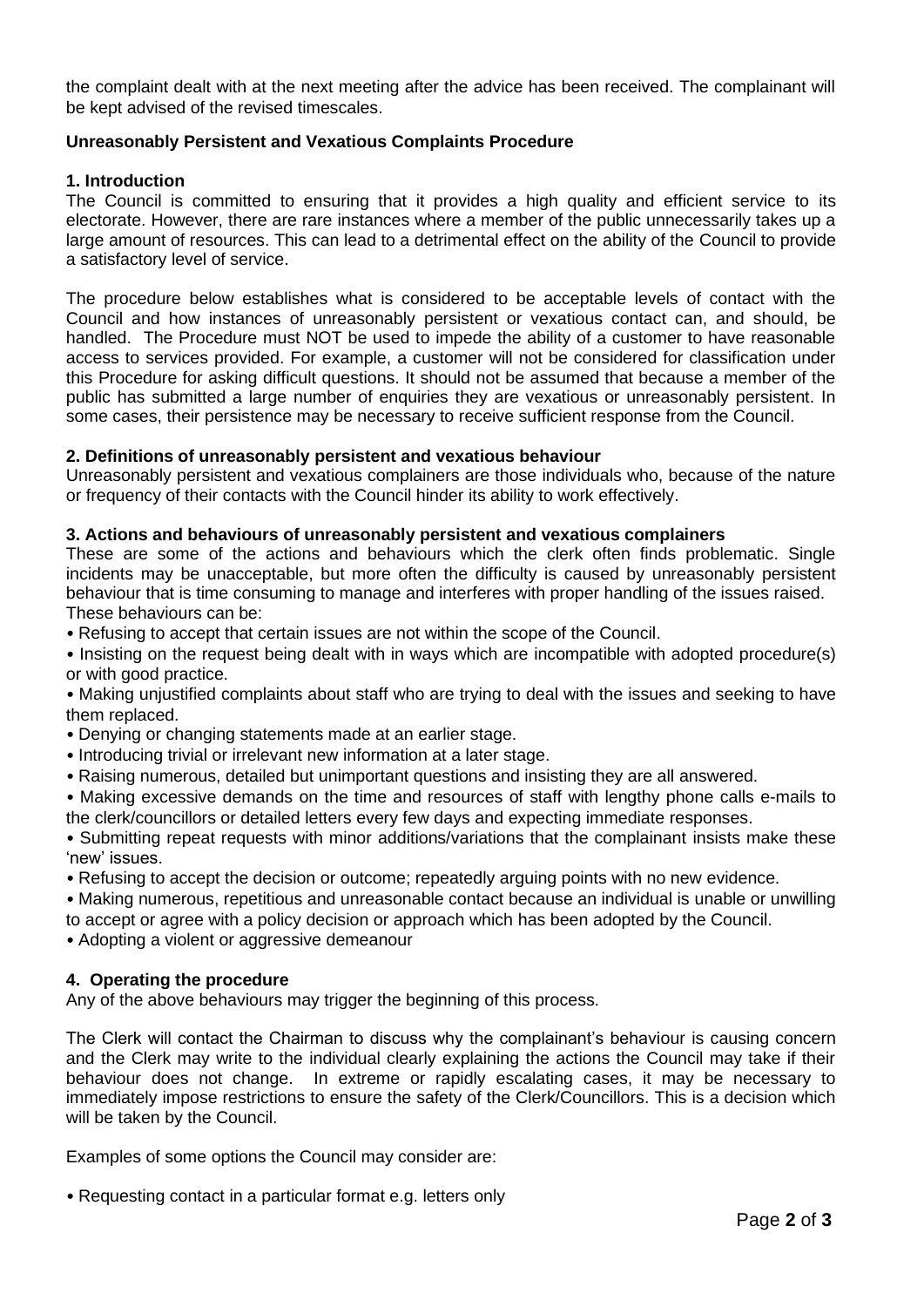the complaint dealt with at the next meeting after the advice has been received. The complainant will be kept advised of the revised timescales.

# **Unreasonably Persistent and Vexatious Complaints Procedure**

#### **1. Introduction**

The Council is committed to ensuring that it provides a high quality and efficient service to its electorate. However, there are rare instances where a member of the public unnecessarily takes up a large amount of resources. This can lead to a detrimental effect on the ability of the Council to provide a satisfactory level of service.

The procedure below establishes what is considered to be acceptable levels of contact with the Council and how instances of unreasonably persistent or vexatious contact can, and should, be handled. The Procedure must NOT be used to impede the ability of a customer to have reasonable access to services provided. For example, a customer will not be considered for classification under this Procedure for asking difficult questions. It should not be assumed that because a member of the public has submitted a large number of enquiries they are vexatious or unreasonably persistent. In some cases, their persistence may be necessary to receive sufficient response from the Council.

#### **2. Definitions of unreasonably persistent and vexatious behaviour**

Unreasonably persistent and vexatious complainers are those individuals who, because of the nature or frequency of their contacts with the Council hinder its ability to work effectively.

#### **3. Actions and behaviours of unreasonably persistent and vexatious complainers**

These are some of the actions and behaviours which the clerk often finds problematic. Single incidents may be unacceptable, but more often the difficulty is caused by unreasonably persistent behaviour that is time consuming to manage and interferes with proper handling of the issues raised. These behaviours can be:

• Refusing to accept that certain issues are not within the scope of the Council.

• Insisting on the request being dealt with in ways which are incompatible with adopted procedure(s) or with good practice.

• Making unjustified complaints about staff who are trying to deal with the issues and seeking to have them replaced.

• Denying or changing statements made at an earlier stage.

- Introducing trivial or irrelevant new information at a later stage.
- Raising numerous, detailed but unimportant questions and insisting they are all answered.

• Making excessive demands on the time and resources of staff with lengthy phone calls e-mails to the clerk/councillors or detailed letters every few days and expecting immediate responses.

• Submitting repeat requests with minor additions/variations that the complainant insists make these 'new' issues.

• Refusing to accept the decision or outcome; repeatedly arguing points with no new evidence.

• Making numerous, repetitious and unreasonable contact because an individual is unable or unwilling to accept or agree with a policy decision or approach which has been adopted by the Council.

• Adopting a violent or aggressive demeanour

#### **4. Operating the procedure**

Any of the above behaviours may trigger the beginning of this process.

The Clerk will contact the Chairman to discuss why the complainant's behaviour is causing concern and the Clerk may write to the individual clearly explaining the actions the Council may take if their behaviour does not change. In extreme or rapidly escalating cases, it may be necessary to immediately impose restrictions to ensure the safety of the Clerk/Councillors. This is a decision which will be taken by the Council.

Examples of some options the Council may consider are:

• Requesting contact in a particular format e.g. letters only